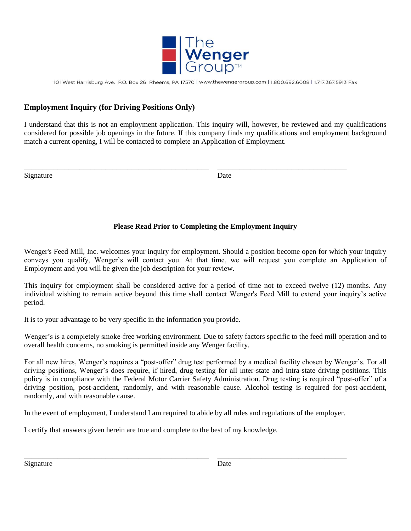

101 West Harrisburg Ave. P.O. Box 26 Rheems, PA 17570 | www.thewengergroup.com | 1.800.692.6008 | 1.717.367.5913 Fax

# **Employment Inquiry (for Driving Positions Only)**

I understand that this is not an employment application. This inquiry will, however, be reviewed and my qualifications considered for possible job openings in the future. If this company finds my qualifications and employment background match a current opening, I will be contacted to complete an Application of Employment.

\_\_\_\_\_\_\_\_\_\_\_\_\_\_\_\_\_\_\_\_\_\_\_\_\_\_\_\_\_\_\_\_\_\_\_\_\_\_\_\_\_\_\_\_\_\_\_\_\_\_ \_\_\_\_\_\_\_\_\_\_\_\_\_\_\_\_\_\_\_\_\_\_\_\_\_\_\_\_\_\_\_\_\_\_\_

Signature Date

# **Please Read Prior to Completing the Employment Inquiry**

Wenger's Feed Mill, Inc. welcomes your inquiry for employment. Should a position become open for which your inquiry conveys you qualify, Wenger's will contact you. At that time, we will request you complete an Application of Employment and you will be given the job description for your review.

This inquiry for employment shall be considered active for a period of time not to exceed twelve (12) months. Any individual wishing to remain active beyond this time shall contact Wenger's Feed Mill to extend your inquiry's active period.

It is to your advantage to be very specific in the information you provide.

Wenger's is a completely smoke-free working environment. Due to safety factors specific to the feed mill operation and to overall health concerns, no smoking is permitted inside any Wenger facility.

For all new hires, Wenger's requires a "post-offer" drug test performed by a medical facility chosen by Wenger's. For all driving positions, Wenger's does require, if hired, drug testing for all inter-state and intra-state driving positions. This policy is in compliance with the Federal Motor Carrier Safety Administration. Drug testing is required "post-offer" of a driving position, post-accident, randomly, and with reasonable cause. Alcohol testing is required for post-accident, randomly, and with reasonable cause.

In the event of employment, I understand I am required to abide by all rules and regulations of the employer.

\_\_\_\_\_\_\_\_\_\_\_\_\_\_\_\_\_\_\_\_\_\_\_\_\_\_\_\_\_\_\_\_\_\_\_\_\_\_\_\_\_\_\_\_\_\_\_\_\_\_ \_\_\_\_\_\_\_\_\_\_\_\_\_\_\_\_\_\_\_\_\_\_\_\_\_\_\_\_\_\_\_\_\_\_\_

I certify that answers given herein are true and complete to the best of my knowledge.

Signature Date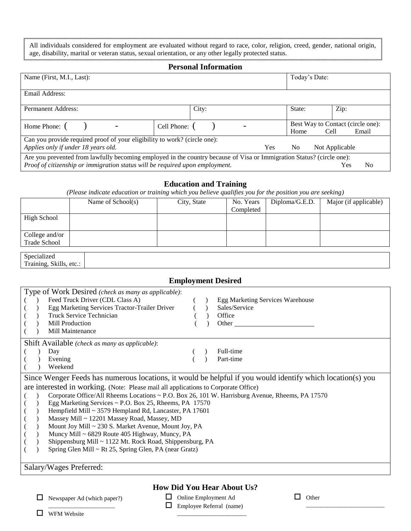All individuals considered for employment are evaluated without regard to race, color, religion, creed, gender, national origin, age, disability, marital or veteran status, sexual orientation, or any other legally protected status.

#### **Personal Information**

| Name (First, M.I., Last):                                                                                                                                                                             |       |     | Today's Date:  |                                                    |
|-------------------------------------------------------------------------------------------------------------------------------------------------------------------------------------------------------|-------|-----|----------------|----------------------------------------------------|
| Email Address:                                                                                                                                                                                        |       |     |                |                                                    |
| <b>Permanent Address:</b>                                                                                                                                                                             | City: |     | State:         | Zip:                                               |
| Cell Phone: (<br>Home Phone: (                                                                                                                                                                        |       |     | Home           | Best Way to Contact (circle one):<br>Email<br>Cell |
| Can you provide required proof of your eligibility to work? (circle one):<br>Applies only if under 18 years old.                                                                                      |       | Yes | N <sub>0</sub> | Not Applicable                                     |
| Are you prevented from lawfully becoming employed in the country because of Visa or Immigration Status? (circle one):<br>Proof of citizenship or immigration status will be required upon employment. |       |     |                | No<br>Yes                                          |

#### **Education and Training**

*(Please indicate education or training which you believe qualifies you for the position you are seeking)*

|                    | Name of $School(s)$ | City, State | No. Years | Diploma/G.E.D. | Major (if applicable) |
|--------------------|---------------------|-------------|-----------|----------------|-----------------------|
|                    |                     |             | Completed |                |                       |
| <b>High School</b> |                     |             |           |                |                       |
|                    |                     |             |           |                |                       |
| College and/or     |                     |             |           |                |                       |
| Trade School       |                     |             |           |                |                       |
|                    |                     |             |           |                |                       |
| Specialized        |                     |             |           |                |                       |

Training, Skills, etc.:

٦

# **Employment Desired**

|  | Type of Work Desired (check as many as applicable):      |                                                                                                 |  |  |                                                                                                            |  |  |  |
|--|----------------------------------------------------------|-------------------------------------------------------------------------------------------------|--|--|------------------------------------------------------------------------------------------------------------|--|--|--|
|  |                                                          | Feed Truck Driver (CDL Class A)                                                                 |  |  | Egg Marketing Services Warehouse                                                                           |  |  |  |
|  |                                                          | Egg Marketing Services Tractor-Trailer Driver                                                   |  |  | Sales/Service                                                                                              |  |  |  |
|  |                                                          | Truck Service Technician                                                                        |  |  | Office                                                                                                     |  |  |  |
|  |                                                          | Mill Production                                                                                 |  |  | Other $\overline{\phantom{a}}$                                                                             |  |  |  |
|  |                                                          | Mill Maintenance                                                                                |  |  |                                                                                                            |  |  |  |
|  |                                                          | Shift Available (check as many as applicable):                                                  |  |  |                                                                                                            |  |  |  |
|  |                                                          | Day                                                                                             |  |  | Full-time                                                                                                  |  |  |  |
|  |                                                          | Evening                                                                                         |  |  | Part-time                                                                                                  |  |  |  |
|  |                                                          | Weekend                                                                                         |  |  |                                                                                                            |  |  |  |
|  |                                                          |                                                                                                 |  |  | Since Wenger Feeds has numerous locations, it would be helpful if you would identify which location(s) you |  |  |  |
|  |                                                          | are interested in working. (Note: Please mail all applications to Corporate Office)             |  |  |                                                                                                            |  |  |  |
|  |                                                          | Corporate Office/All Rheems Locations ~ P.O. Box 26, 101 W. Harrisburg Avenue, Rheems, PA 17570 |  |  |                                                                                                            |  |  |  |
|  |                                                          | Egg Marketing Services $\sim$ P.O. Box 25, Rheems, PA 17570                                     |  |  |                                                                                                            |  |  |  |
|  |                                                          | Hempfield Mill ~ 3579 Hempland Rd, Lancaster, PA 17601                                          |  |  |                                                                                                            |  |  |  |
|  |                                                          | Massey Mill ~ 12201 Massey Road, Massey, MD                                                     |  |  |                                                                                                            |  |  |  |
|  |                                                          | Mount Joy Mill ~ 230 S. Market Avenue, Mount Joy, PA                                            |  |  |                                                                                                            |  |  |  |
|  | Muncy Mill ~ 6829 Route 405 Highway, Muncy, PA           |                                                                                                 |  |  |                                                                                                            |  |  |  |
|  | Shippensburg Mill ~ 1122 Mt. Rock Road, Shippensburg, PA |                                                                                                 |  |  |                                                                                                            |  |  |  |
|  | Spring Glen Mill ~ Rt 25, Spring Glen, PA (near Gratz)   |                                                                                                 |  |  |                                                                                                            |  |  |  |
|  |                                                          |                                                                                                 |  |  |                                                                                                            |  |  |  |
|  |                                                          | Salary/Wages Preferred:                                                                         |  |  |                                                                                                            |  |  |  |

**How Did You Hear About Us?**

 $\Box$  Newspaper Ad (which paper?) \_\_\_\_\_\_\_\_\_\_\_\_\_\_\_\_\_\_\_\_\_\_

 Online Employment Ad Employee Referral (name)

\_\_\_\_\_\_\_\_\_\_\_\_\_\_\_\_\_\_\_\_\_\_\_

**Other** 

\_\_\_\_\_\_\_\_\_\_\_\_\_\_\_\_\_\_\_\_\_\_\_\_\_\_

**NEM** Website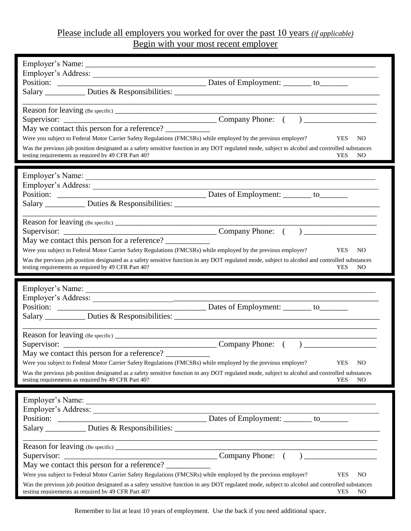# Please include all employers you worked for over the past 10 years *(if applicable)* Begin with your most recent employer

| Employer's Address:<br>May we contact this person for a reference?<br>Were you subject to Federal Motor Carrier Safety Regulations (FMCSRs) while employed by the previous employer?<br><b>YES</b><br>NO.<br>Was the previous job position designated as a safety sensitive function in any DOT regulated mode, subject to alcohol and controlled substances<br>testing requirements as required by 49 CFR Part 40?<br>NO<br><b>YES</b>                                        |
|--------------------------------------------------------------------------------------------------------------------------------------------------------------------------------------------------------------------------------------------------------------------------------------------------------------------------------------------------------------------------------------------------------------------------------------------------------------------------------|
| Reason for leaving (Be specific) $\frac{1}{2}$<br>May we contact this person for a reference?<br>Were you subject to Federal Motor Carrier Safety Regulations (FMCSRs) while employed by the previous employer?<br><b>YES</b><br>N <sub>O</sub><br>Was the previous job position designated as a safety sensitive function in any DOT regulated mode, subject to alcohol and controlled substances<br>testing requirements as required by 49 CFR Part 40?<br><b>YES</b><br>NO. |
|                                                                                                                                                                                                                                                                                                                                                                                                                                                                                |
| Position:<br>Dates of Employment: _______ to_________                                                                                                                                                                                                                                                                                                                                                                                                                          |
| May we contact this person for a reference?<br>Were you subject to Federal Motor Carrier Safety Regulations (FMCSRs) while employed by the previous employer?<br><b>YES</b><br>NO.<br>Was the previous job position designated as a safety sensitive function in any DOT regulated mode, subject to alcohol and controlled substances<br>testing requirements as required by 49 CFR Part 40?<br><b>YES</b><br>NO.                                                              |
| Employer's Address:<br><u> 1989 - Andrea Santa Andrea Andrea Andrea Andrea Andrea Andrea Andrea Andrea Andrea Andrea Andrea Andrea Andr</u>                                                                                                                                                                                                                                                                                                                                    |

Remember to list at least 10 years of employment. Use the back if you need additional space.